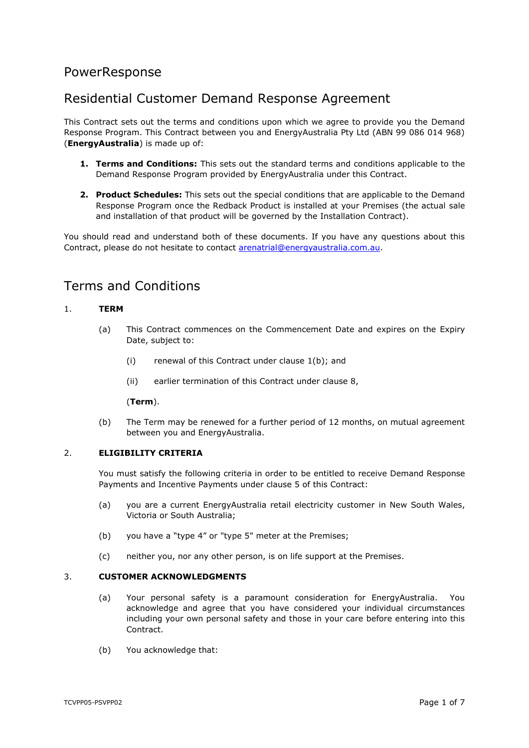# PowerResponse

# Residential Customer Demand Response Agreement

This Contract sets out the terms and conditions upon which we agree to provide you the Demand Response Program. This Contract between you and EnergyAustralia Pty Ltd (ABN 99 086 014 968) (**EnergyAustralia**) is made up of:

- **1. Terms and Conditions:** This sets out the standard terms and conditions applicable to the Demand Response Program provided by EnergyAustralia under this Contract.
- **2. Product Schedules:** This sets out the special conditions that are applicable to the Demand Response Program once the Redback Product is installed at your Premises (the actual sale and installation of that product will be governed by the Installation Contract).

You should read and understand both of these documents. If you have any questions about this Contract, please do not hesitate to contact [arenatrial@energyaustralia.com.au.](mailto:arenatrial@energyaustralia.com.au)

# Terms and Conditions

## <span id="page-0-2"></span>1. **TERM**

- (a) This Contract commences on the Commencement Date and expires on the Expiry Date, subject to:
	- (i) renewal of this Contract under clause [1\(b\);](#page-0-0) and
	- (ii) earlier termination of this Contract under clause [8,](#page-3-0)

#### (**Term**).

(b) The Term may be renewed for a further period of 12 months, on mutual agreement between you and EnergyAustralia.

## <span id="page-0-1"></span><span id="page-0-0"></span>2. **ELIGIBILITY CRITERIA**

You must satisfy the following criteria in order to be entitled to receive Demand Response Payments and Incentive Payments under clause [5](#page-1-0) of this Contract:

- (a) you are a current EnergyAustralia retail electricity customer in New South Wales, Victoria or South Australia;
- (b) you have a "type 4" or "type 5" meter at the Premises;
- (c) neither you, nor any other person, is on life support at the Premises.

#### 3. **CUSTOMER ACKNOWLEDGMENTS**

- (a) Your personal safety is a paramount consideration for EnergyAustralia. You acknowledge and agree that you have considered your individual circumstances including your own personal safety and those in your care before entering into this **Contract**
- (b) You acknowledge that: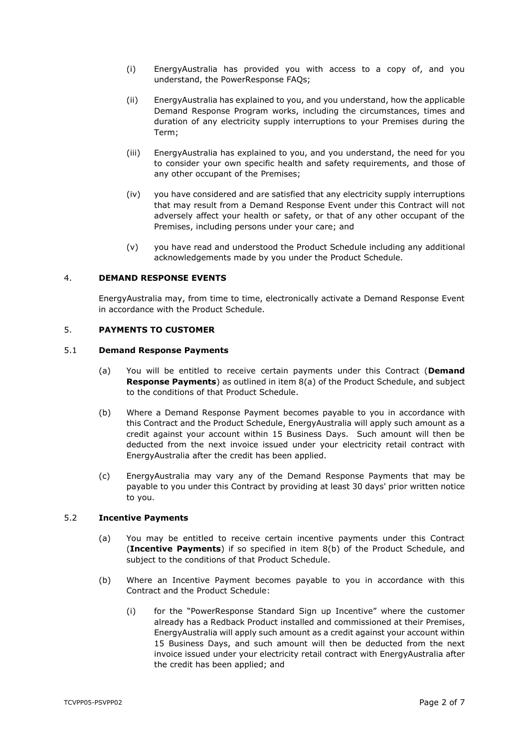- (i) EnergyAustralia has provided you with access to a copy of, and you understand, the PowerResponse FAQs;
- (ii) EnergyAustralia has explained to you, and you understand, how the applicable Demand Response Program works, including the circumstances, times and duration of any electricity supply interruptions to your Premises during the Term;
- (iii) EnergyAustralia has explained to you, and you understand, the need for you to consider your own specific health and safety requirements, and those of any other occupant of the Premises;
- (iv) you have considered and are satisfied that any electricity supply interruptions that may result from a Demand Response Event under this Contract will not adversely affect your health or safety, or that of any other occupant of the Premises, including persons under your care; and
- (v) you have read and understood the Product Schedule including any additional acknowledgements made by you under the Product Schedule.

## 4. **DEMAND RESPONSE EVENTS**

EnergyAustralia may, from time to time, electronically activate a Demand Response Event in accordance with the Product Schedule.

## <span id="page-1-0"></span>5. **PAYMENTS TO CUSTOMER**

#### <span id="page-1-3"></span><span id="page-1-2"></span>5.1 **Demand Response Payments**

- (a) You will be entitled to receive certain payments under this Contract (**Demand Response Payments**) as outlined in item [8\(a\)](#page-9-0) of the Product Schedule, and subject to the conditions of that Product Schedule.
- (b) Where a Demand Response Payment becomes payable to you in accordance with this Contract and the Product Schedule, EnergyAustralia will apply such amount as a credit against your account within 15 Business Days. Such amount will then be deducted from the next invoice issued under your electricity retail contract with EnergyAustralia after the credit has been applied.
- <span id="page-1-5"></span>(c) EnergyAustralia may vary any of the Demand Response Payments that may be payable to you under this Contract by providing at least 30 days' prior written notice to you.

### <span id="page-1-4"></span>5.2 **Incentive Payments**

- (a) You may be entitled to receive certain incentive payments under this Contract (**Incentive Payments**) if so specified in item [8\(b\)](#page-9-1) of the Product Schedule, and subject to the conditions of that Product Schedule.
- <span id="page-1-1"></span>(b) Where an Incentive Payment becomes payable to you in accordance with this Contract and the Product Schedule:
	- (i) for the "PowerResponse Standard Sign up Incentive" where the customer already has a Redback Product installed and commissioned at their Premises, EnergyAustralia will apply such amount as a credit against your account within 15 Business Days, and such amount will then be deducted from the next invoice issued under your electricity retail contract with EnergyAustralia after the credit has been applied; and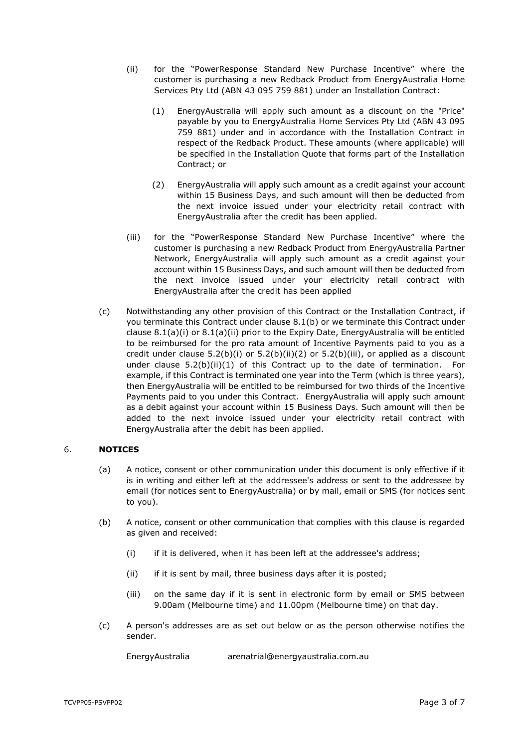- <span id="page-2-3"></span><span id="page-2-2"></span>(ii) for the "PowerResponse Standard New Purchase Incentive" where the customer is purchasing a new Redback Product from EnergyAustralia Home Services Pty Ltd (ABN 43 095 759 881) under an Installation Contract:
	- (1) EnergyAustralia will apply such amount as a discount on the "Price" payable by you to EnergyAustralia Home Services Pty Ltd (ABN 43 095 759 881) under and in accordance with the Installation Contract in respect of the Redback Product. These amounts (where applicable) will be specified in the Installation Quote that forms part of the Installation Contract; or
	- (2) EnergyAustralia will apply such amount as a credit against your account within 15 Business Days, and such amount will then be deducted from the next invoice issued under your electricity retail contract with EnergyAustralia after the credit has been applied.
- <span id="page-2-1"></span><span id="page-2-0"></span>(iii) for the "PowerResponse Standard New Purchase Incentive" where the customer is purchasing a new Redback Product from EnergyAustralia Partner Network, EnergyAustralia will apply such amount as a credit against your account within 15 Business Days, and such amount will then be deducted from the next invoice issued under your electricity retail contract with EnergyAustralia after the credit has been applied
- <span id="page-2-4"></span>(c) Notwithstanding any other provision of this Contract or the Installation Contract, if you terminate this Contract under clause [8.1\(b\)](#page-3-1) or we terminate this Contract under clause [8.1\(a\)\(i\)](#page-3-2) or [8.1\(a\)\(ii\)](#page-3-3) prior to the Expiry Date, EnergyAustralia will be entitled to be reimbursed for the pro rata amount of Incentive Payments paid to you as a credit under clause  $5.2(b)(i)$  or  $5.2(b)(ii)(2)$  $5.2(b)(ii)(2)$  or  $5.2(b)(iii)$ , or applied as a discount under clause  $5.2(b)(ii)(1)$  $5.2(b)(ii)(1)$  of this Contract up to the date of termination. For example, if this Contract is terminated one year into the Term (which is three years), then EnergyAustralia will be entitled to be reimbursed for two thirds of the Incentive Payments paid to you under this Contract. EnergyAustralia will apply such amount as a debit against your account within 15 Business Days. Such amount will then be added to the next invoice issued under your electricity retail contract with EnergyAustralia after the debit has been applied.

## 6. **NOTICES**

- (a) A notice, consent or other communication under this document is only effective if it is in writing and either left at the addressee's address or sent to the addressee by email (for notices sent to EnergyAustralia) or by mail, email or SMS (for notices sent to you).
- (b) A notice, consent or other communication that complies with this clause is regarded as given and received:
	- (i) if it is delivered, when it has been left at the addressee's address;
	- (ii) if it is sent by mail, three business days after it is posted;
	- (iii) on the same day if it is sent in electronic form by email or SMS between 9.00am (Melbourne time) and 11.00pm (Melbourne time) on that day.
- (c) A person's addresses are as set out below or as the person otherwise notifies the sender.

EnergyAustralia arenatrial@energyaustralia.com.au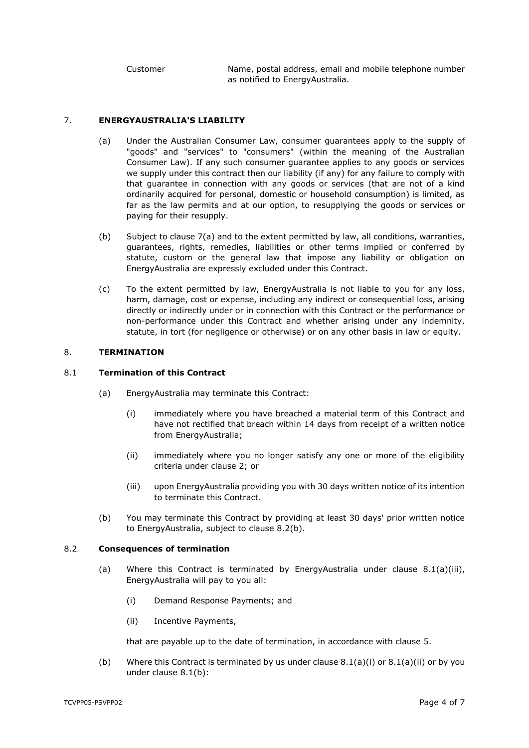Customer Name, postal address, email and mobile telephone number as notified to EnergyAustralia.

### <span id="page-3-4"></span>7. **ENERGYAUSTRALIA'S LIABILITY**

- (a) Under the Australian Consumer Law, consumer guarantees apply to the supply of "goods" and "services" to "consumers" (within the meaning of the Australian Consumer Law). If any such consumer guarantee applies to any goods or services we supply under this contract then our liability (if any) for any failure to comply with that guarantee in connection with any goods or services (that are not of a kind ordinarily acquired for personal, domestic or household consumption) is limited, as far as the law permits and at our option, to resupplying the goods or services or paying for their resupply.
- (b) Subject to clause [7\(a\)](#page-3-4) and to the extent permitted by law, all conditions, warranties, guarantees, rights, remedies, liabilities or other terms implied or conferred by statute, custom or the general law that impose any liability or obligation on EnergyAustralia are expressly excluded under this Contract.
- (c) To the extent permitted by law, EnergyAustralia is not liable to you for any loss, harm, damage, cost or expense, including any indirect or consequential loss, arising directly or indirectly under or in connection with this Contract or the performance or non-performance under this Contract and whether arising under any indemnity, statute, in tort (for negligence or otherwise) or on any other basis in law or equity.

#### <span id="page-3-0"></span>8. **TERMINATION**

### <span id="page-3-2"></span>8.1 **Termination of this Contract**

- <span id="page-3-3"></span>(a) EnergyAustralia may terminate this Contract:
	- (i) immediately where you have breached a material term of this Contract and have not rectified that breach within 14 days from receipt of a written notice from EnergyAustralia;
	- (ii) immediately where you no longer satisfy any one or more of the eligibility criteria under clause [2;](#page-0-1) or
	- (iii) upon EnergyAustralia providing you with 30 days written notice of its intention to terminate this Contract.
- <span id="page-3-6"></span>(b) You may terminate this Contract by providing at least 30 days' prior written notice to EnergyAustralia, subject to clause [8.2\(b\).](#page-3-5)

#### <span id="page-3-1"></span>8.2 **Consequences of termination**

- (a) Where this Contract is terminated by EnergyAustralia under clause  $8.1(a)(iii)$ , EnergyAustralia will pay to you all:
	- (i) Demand Response Payments; and
	- (ii) Incentive Payments,

that are payable up to the date of termination, in accordance with clause [5.](#page-1-0)

<span id="page-3-5"></span>(b) Where this Contract is terminated by us under clause  $8.1(a)(i)$  or  $8.1(a)(ii)$  or by you under clause [8.1\(b\):](#page-3-1)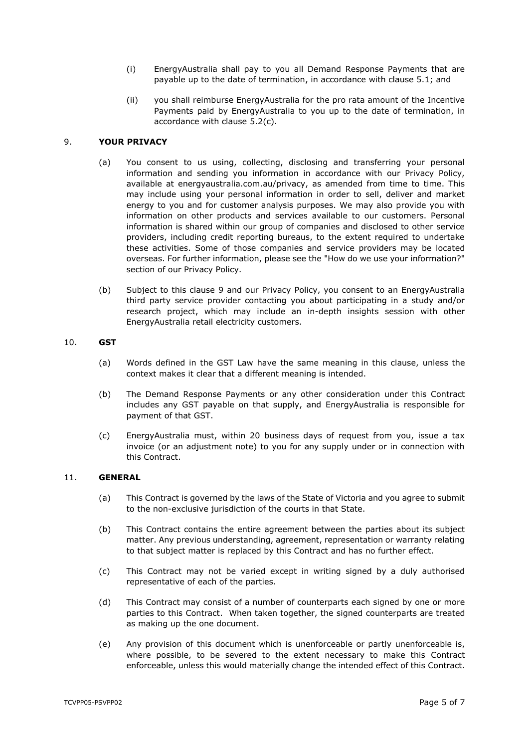- (i) EnergyAustralia shall pay to you all Demand Response Payments that are payable up to the date of termination, in accordance with clause [5.1;](#page-1-2) and
- (ii) you shall reimburse EnergyAustralia for the pro rata amount of the Incentive Payments paid by EnergyAustralia to you up to the date of termination, in accordance with clause [5.2\(c\).](#page-2-4)

### <span id="page-4-0"></span>9. **YOUR PRIVACY**

- (a) You consent to us using, collecting, disclosing and transferring your personal information and sending you information in accordance with our Privacy Policy, available at energyaustralia.com.au/privacy, as amended from time to time. This may include using your personal information in order to sell, deliver and market energy to you and for customer analysis purposes. We may also provide you with information on other products and services available to our customers. Personal information is shared within our group of companies and disclosed to other service providers, including credit reporting bureaus, to the extent required to undertake these activities. Some of those companies and service providers may be located overseas. For further information, please see the "How do we use your information?" section of our Privacy Policy.
- (b) Subject to this clause [9](#page-4-0) and our Privacy Policy, you consent to an EnergyAustralia third party service provider contacting you about participating in a study and/or research project, which may include an in-depth insights session with other EnergyAustralia retail electricity customers.

#### 10. **GST**

- (a) Words defined in the GST Law have the same meaning in this clause, unless the context makes it clear that a different meaning is intended.
- (b) The Demand Response Payments or any other consideration under this Contract includes any GST payable on that supply, and EnergyAustralia is responsible for payment of that GST.
- (c) EnergyAustralia must, within 20 business days of request from you, issue a tax invoice (or an adjustment note) to you for any supply under or in connection with this Contract.

#### 11. **GENERAL**

- (a) This Contract is governed by the laws of the State of Victoria and you agree to submit to the non-exclusive jurisdiction of the courts in that State.
- (b) This Contract contains the entire agreement between the parties about its subject matter. Any previous understanding, agreement, representation or warranty relating to that subject matter is replaced by this Contract and has no further effect.
- (c) This Contract may not be varied except in writing signed by a duly authorised representative of each of the parties.
- (d) This Contract may consist of a number of counterparts each signed by one or more parties to this Contract. When taken together, the signed counterparts are treated as making up the one document.
- (e) Any provision of this document which is unenforceable or partly unenforceable is, where possible, to be severed to the extent necessary to make this Contract enforceable, unless this would materially change the intended effect of this Contract.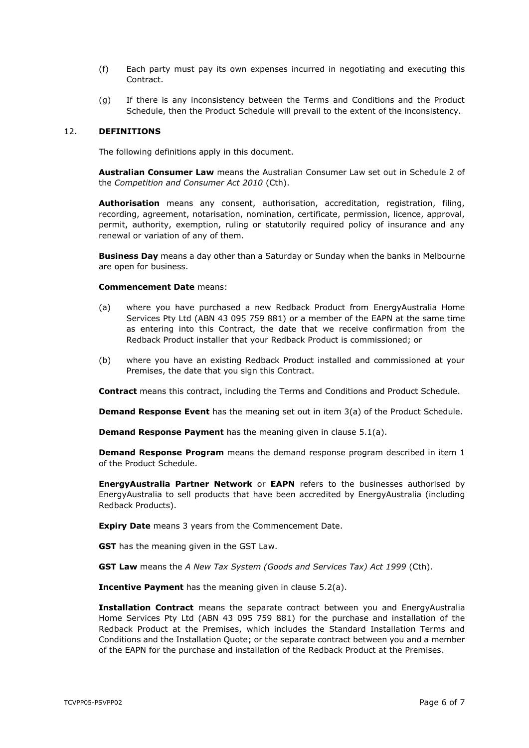- (f) Each party must pay its own expenses incurred in negotiating and executing this Contract.
- (g) If there is any inconsistency between the Terms and Conditions and the Product Schedule, then the Product Schedule will prevail to the extent of the inconsistency.

#### 12. **DEFINITIONS**

The following definitions apply in this document.

**Australian Consumer Law** means the Australian Consumer Law set out in Schedule 2 of the *Competition and Consumer Act 2010* (Cth).

**Authorisation** means any consent, authorisation, accreditation, registration, filing, recording, agreement, notarisation, nomination, certificate, permission, licence, approval, permit, authority, exemption, ruling or statutorily required policy of insurance and any renewal or variation of any of them.

**Business Day** means a day other than a Saturday or Sunday when the banks in Melbourne are open for business.

#### **Commencement Date** means:

- (a) where you have purchased a new Redback Product from EnergyAustralia Home Services Pty Ltd (ABN 43 095 759 881) or a member of the EAPN at the same time as entering into this Contract, the date that we receive confirmation from the Redback Product installer that your Redback Product is commissioned; or
- (b) where you have an existing Redback Product installed and commissioned at your Premises, the date that you sign this Contract.

**Contract** means this contract, including the Terms and Conditions and Product Schedule.

**Demand Response Event** has the meaning set out in item [3\(a\)](#page-7-0) of the Product Schedule.

**Demand Response Payment** has the meaning given in clause [5.1\(a\).](#page-1-3)

**Demand Response Program** means the demand response program described in item [1](#page-7-1) of the Product Schedule.

**EnergyAustralia Partner Network** or **EAPN** refers to the businesses authorised by EnergyAustralia to sell products that have been accredited by EnergyAustralia (including Redback Products).

**Expiry Date** means 3 years from the Commencement Date.

**GST** has the meaning given in the GST Law.

**GST Law** means the *A New Tax System (Goods and Services Tax) Act 1999* (Cth).

**Incentive Payment** has the meaning given in clause [5.2\(a\).](#page-1-4)

**Installation Contract** means the separate contract between you and EnergyAustralia Home Services Pty Ltd (ABN 43 095 759 881) for the purchase and installation of the Redback Product at the Premises, which includes the Standard Installation Terms and Conditions and the Installation Quote; or the separate contract between you and a member of the EAPN for the purchase and installation of the Redback Product at the Premises.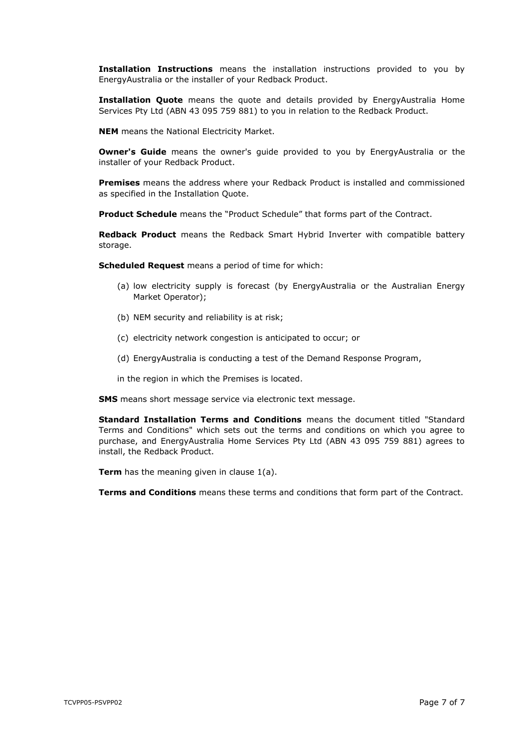**Installation Instructions** means the installation instructions provided to you by EnergyAustralia or the installer of your Redback Product.

**Installation Quote** means the quote and details provided by EnergyAustralia Home Services Pty Ltd (ABN 43 095 759 881) to you in relation to the Redback Product.

**NEM** means the National Electricity Market.

**Owner's Guide** means the owner's quide provided to you by EnergyAustralia or the installer of your Redback Product.

**Premises** means the address where your Redback Product is installed and commissioned as specified in the Installation Quote.

**Product Schedule** means the "Product Schedule" that forms part of the Contract.

**Redback Product** means the Redback Smart Hybrid Inverter with compatible battery storage.

**Scheduled Request** means a period of time for which:

- (a) low electricity supply is forecast (by EnergyAustralia or the Australian Energy Market Operator);
- (b) NEM security and reliability is at risk;
- (c) electricity network congestion is anticipated to occur; or
- (d) EnergyAustralia is conducting a test of the Demand Response Program,
- in the region in which the Premises is located.

**SMS** means short message service via electronic text message.

**Standard Installation Terms and Conditions** means the document titled "Standard Terms and Conditions" which sets out the terms and conditions on which you agree to purchase, and EnergyAustralia Home Services Pty Ltd (ABN 43 095 759 881) agrees to install, the Redback Product.

**Term** has the meaning given in clause [1\(a\).](#page-0-2)

**Terms and Conditions** means these terms and conditions that form part of the Contract.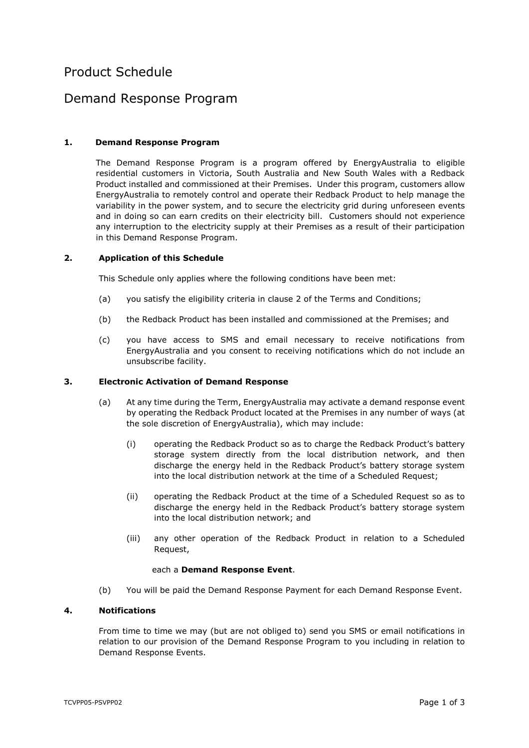# Product Schedule

## Demand Response Program

## <span id="page-7-1"></span>**1. Demand Response Program**

The Demand Response Program is a program offered by EnergyAustralia to eligible residential customers in Victoria, South Australia and New South Wales with a Redback Product installed and commissioned at their Premises. Under this program, customers allow EnergyAustralia to remotely control and operate their Redback Product to help manage the variability in the power system, and to secure the electricity grid during unforeseen events and in doing so can earn credits on their electricity bill. Customers should not experience any interruption to the electricity supply at their Premises as a result of their participation in this Demand Response Program.

#### **2. Application of this Schedule**

This Schedule only applies where the following conditions have been met:

- (a) you satisfy the eligibility criteria in clause [2](#page-0-1) of the Terms and Conditions;
- (b) the Redback Product has been installed and commissioned at the Premises; and
- (c) you have access to SMS and email necessary to receive notifications from EnergyAustralia and you consent to receiving notifications which do not include an unsubscribe facility.

#### <span id="page-7-0"></span>**3. Electronic Activation of Demand Response**

- (a) At any time during the Term, EnergyAustralia may activate a demand response event by operating the Redback Product located at the Premises in any number of ways (at the sole discretion of EnergyAustralia), which may include:
	- (i) operating the Redback Product so as to charge the Redback Product's battery storage system directly from the local distribution network, and then discharge the energy held in the Redback Product's battery storage system into the local distribution network at the time of a Scheduled Request;
	- (ii) operating the Redback Product at the time of a Scheduled Request so as to discharge the energy held in the Redback Product's battery storage system into the local distribution network; and
	- (iii) any other operation of the Redback Product in relation to a Scheduled Request,

#### each a **Demand Response Event**.

(b) You will be paid the Demand Response Payment for each Demand Response Event.

#### **4. Notifications**

From time to time we may (but are not obliged to) send you SMS or email notifications in relation to our provision of the Demand Response Program to you including in relation to Demand Response Events.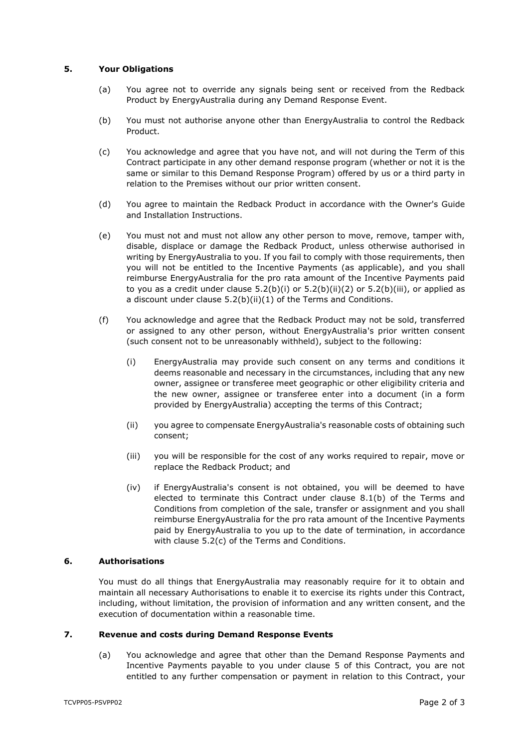## **5. Your Obligations**

- (a) You agree not to override any signals being sent or received from the Redback Product by EnergyAustralia during any Demand Response Event.
- (b) You must not authorise anyone other than EnergyAustralia to control the Redback Product.
- (c) You acknowledge and agree that you have not, and will not during the Term of this Contract participate in any other demand response program (whether or not it is the same or similar to this Demand Response Program) offered by us or a third party in relation to the Premises without our prior written consent.
- (d) You agree to maintain the Redback Product in accordance with the Owner's Guide and Installation Instructions.
- (e) You must not and must not allow any other person to move, remove, tamper with, disable, displace or damage the Redback Product, unless otherwise authorised in writing by EnergyAustralia to you. If you fail to comply with those requirements, then you will not be entitled to the Incentive Payments (as applicable), and you shall reimburse EnergyAustralia for the pro rata amount of the Incentive Payments paid to you as a credit under clause  $5.2(b)(i)$  or  $5.2(b)(ii)(2)$  $5.2(b)(ii)(2)$  or  $5.2(b)(iii)$ , or applied as a discount under clause [5.2\(b\)\(ii\)](#page-2-2)[\(1\)](#page-2-3) of the Terms and Conditions.
- (f) You acknowledge and agree that the Redback Product may not be sold, transferred or assigned to any other person, without EnergyAustralia's prior written consent (such consent not to be unreasonably withheld), subject to the following:
	- (i) EnergyAustralia may provide such consent on any terms and conditions it deems reasonable and necessary in the circumstances, including that any new owner, assignee or transferee meet geographic or other eligibility criteria and the new owner, assignee or transferee enter into a document (in a form provided by EnergyAustralia) accepting the terms of this Contract;
	- (ii) you agree to compensate EnergyAustralia's reasonable costs of obtaining such consent;
	- (iii) you will be responsible for the cost of any works required to repair, move or replace the Redback Product; and
	- (iv) if EnergyAustralia's consent is not obtained, you will be deemed to have elected to terminate this Contract under clause [8.1\(b\)](#page-3-1) of the Terms and Conditions from completion of the sale, transfer or assignment and you shall reimburse EnergyAustralia for the pro rata amount of the Incentive Payments paid by EnergyAustralia to you up to the date of termination, in accordance with clause [5.2\(c\)](#page-2-4) of the Terms and Conditions.

#### **6. Authorisations**

You must do all things that EnergyAustralia may reasonably require for it to obtain and maintain all necessary Authorisations to enable it to exercise its rights under this Contract, including, without limitation, the provision of information and any written consent, and the execution of documentation within a reasonable time.

### **7. Revenue and costs during Demand Response Events**

(a) You acknowledge and agree that other than the Demand Response Payments and Incentive Payments payable to you under clause [5](#page-1-0) of this Contract, you are not entitled to any further compensation or payment in relation to this Contract, your